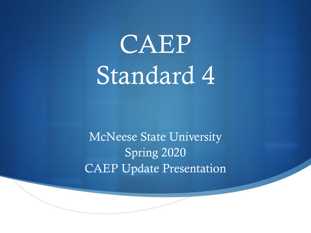

McNeese State University Spring 2020 CAEP Update Presentation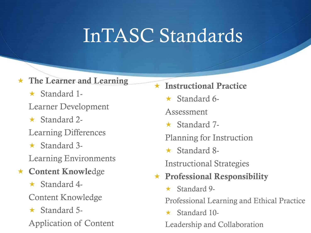# InTASC Standards

### The Learner and Learning

- $\star$  Standard 1-Learner Development
- $\star$  Standard 2-
- Learning Differences
- $\star$  Standard 3-
- Learning Environments
- Content Knowledge
	- $\star$  Standard 4-
	- Content Knowledge
	- $\star$  Standard 5-Application of Content

 $\star$  Instructional Practice

- $\star$  Standard 6-
- Assessment
- $\star$  Standard 7-
- Planning for Instruction
- $\star$  Standard 8-
- Instructional Strategies
- $\star$  Professional Responsibility
	- $\star$  Standard 9-

Professional Learning and Ethical Practice

 $\star$  Standard 10-

Leadership and Collaboration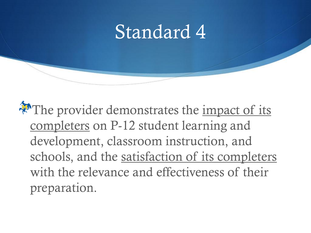## Standard 4

The provider demonstrates the impact of its completers on P-12 student learning and development, classroom instruction, and schools, and the satisfaction of its completers with the relevance and effectiveness of their preparation.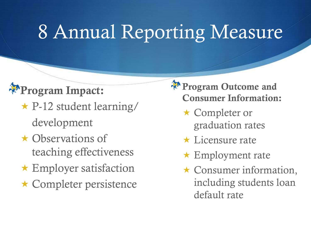# 8 Annual Reporting Measure

### Program Impact:

- $\star$  P-12 student learning/ development
- **★ Observations of** teaching effectiveness
- Employer satisfaction
- Completer persistence
- Program Outcome and Consumer Information:
	- ★ Completer or graduation rates
	- $\star$  Licensure rate
	- $\star$  Employment rate
	- $\star$  Consumer information, including students loan default rate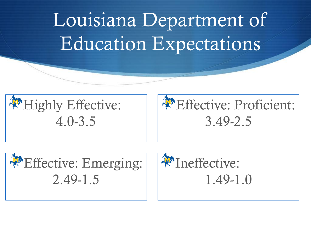# Louisiana Department of Education Expectations







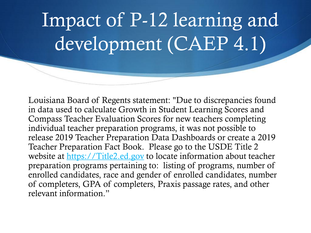# Impact of P-12 learning and development (CAEP 4.1)

Louisiana Board of Regents statement: "Due to discrepancies found in data used to calculate Growth in Student Learning Scores and Compass Teacher Evaluation Scores for new teachers completing individual teacher preparation programs, it was not possible to release 2019 Teacher Preparation Data Dashboards or create a 2019 Teacher Preparation Fact Book. Please go to the USDE Title 2 website at [https://Title2.ed.gov](https://nam04.safelinks.protection.outlook.com/?url=http://title2.ed.gov/&data=02%7C01%7Csusannah.craig@laregents.edu%7Cfb8e0f02e95a46e8404908d7eb847605%7Cf25b5cd527d2486caf8c5615675d2554%7C0%7C0%7C637236826464063263&sdata=fMy0sJ4iJjkj83T+k/kUHR4kjS0bh7DbIxBdwn9xgjE=&reserved=0) to locate information about teacher preparation programs pertaining to: listing of programs, number of enrolled candidates, race and gender of enrolled candidates, number of completers, GPA of completers, Praxis passage rates, and other relevant information."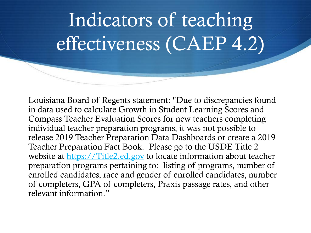# Indicators of teaching effectiveness (CAEP 4.2)

Louisiana Board of Regents statement: "Due to discrepancies found in data used to calculate Growth in Student Learning Scores and Compass Teacher Evaluation Scores for new teachers completing individual teacher preparation programs, it was not possible to release 2019 Teacher Preparation Data Dashboards or create a 2019 Teacher Preparation Fact Book. Please go to the USDE Title 2 website at [https://Title2.ed.gov](https://nam04.safelinks.protection.outlook.com/?url=http://title2.ed.gov/&data=02%7C01%7Csusannah.craig@laregents.edu%7Cfb8e0f02e95a46e8404908d7eb847605%7Cf25b5cd527d2486caf8c5615675d2554%7C0%7C0%7C637236826464063263&sdata=fMy0sJ4iJjkj83T+k/kUHR4kjS0bh7DbIxBdwn9xgjE=&reserved=0) to locate information about teacher preparation programs pertaining to: listing of programs, number of enrolled candidates, race and gender of enrolled candidates, number of completers, GPA of completers, Praxis passage rates, and other relevant information."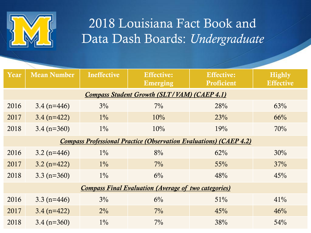

### 2018 Louisiana Fact Book and Data Dash Boards: *Undergraduate*

| Year | <b>Mean Number</b>                                                        | <b>Ineffective</b> | <b>Effective:</b><br>Emerging                               | <b>Effective:</b><br><b>Proficient</b> | <b>Highly</b><br><b>Effective</b> |  |  |  |  |  |
|------|---------------------------------------------------------------------------|--------------------|-------------------------------------------------------------|----------------------------------------|-----------------------------------|--|--|--|--|--|
|      | <b>Compass Student Growth (SLT/VAM) (CAEP 4.1)</b>                        |                    |                                                             |                                        |                                   |  |  |  |  |  |
| 2016 | $3.4(n=446)$                                                              | $3\%$              | $7\%$                                                       | 28%                                    | 63%                               |  |  |  |  |  |
| 2017 | $3.4(n=422)$                                                              | $1\%$              | 10%                                                         | 23%                                    | 66%                               |  |  |  |  |  |
| 2018 | $3.4 (n=360)$                                                             | $1\%$              | 10%                                                         | 19%                                    | 70%                               |  |  |  |  |  |
|      | <b>Compass Professional Practice (Observation Evaluations) (CAEP 4.2)</b> |                    |                                                             |                                        |                                   |  |  |  |  |  |
| 2016 | $3.2 (n=446)$                                                             | $1\%$              | 8%                                                          | 62%                                    | 30%                               |  |  |  |  |  |
| 2017 | $3.2 (n=422)$                                                             | $1\%$              | $7\%$                                                       | 55%                                    | 37%                               |  |  |  |  |  |
| 2018 | $3.3 (n=360)$                                                             | $1\%$              | $6\%$                                                       | 48%                                    | 45%                               |  |  |  |  |  |
|      |                                                                           |                    | <b>Compass Final Evaluation (Average of two categories)</b> |                                        |                                   |  |  |  |  |  |
| 2016 | $3.3$ (n=446)                                                             | 3%                 | $6\%$                                                       | 51%                                    | 41%                               |  |  |  |  |  |
| 2017 | $3.4 (n=422)$                                                             | $2\%$              | $7\%$                                                       | 45%                                    | 46%                               |  |  |  |  |  |
| 2018 | $3.4 (n=360)$                                                             | $1\%$              | $7\%$                                                       | 38%                                    | 54%                               |  |  |  |  |  |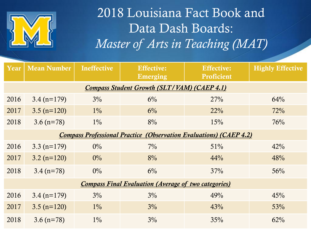

## 2018 Louisiana Fact Book and Data Dash Boards: *Master of Arts in Teaching (MAT)*

| Year | <b>Mean Number</b>                                                        | <b>Ineffective</b> | <b>Effective:</b><br>Emerging                               | Effective:<br><b>Proficient</b> | <b>Highly Effective</b> |  |  |  |  |  |
|------|---------------------------------------------------------------------------|--------------------|-------------------------------------------------------------|---------------------------------|-------------------------|--|--|--|--|--|
|      | <b>Compass Student Growth (SLT/VAM) (CAEP 4.1)</b>                        |                    |                                                             |                                 |                         |  |  |  |  |  |
| 2016 | $3.4 (n=179)$                                                             | $3\%$              | $6\%$                                                       | 27%                             | 64%                     |  |  |  |  |  |
| 2017 | $3.5 (n=120)$                                                             | $1\%$              | $6\%$                                                       | 22%                             | 72%                     |  |  |  |  |  |
| 2018 | $3.6 (n=78)$                                                              | $1\%$              | 8%                                                          | 15%                             | 76%                     |  |  |  |  |  |
|      | <b>Compass Professional Practice (Observation Evaluations) (CAEP 4.2)</b> |                    |                                                             |                                 |                         |  |  |  |  |  |
| 2016 | 3.3 $(n=179)$                                                             | $0\%$              | $7\%$                                                       | 51%                             | 42%                     |  |  |  |  |  |
| 2017 | $3.2 (n=120)$                                                             | $0\%$              | 8%                                                          | 44%                             | 48%                     |  |  |  |  |  |
| 2018 | $3.4 (n=78)$                                                              | $0\%$              | $6\%$                                                       | 37%                             | 56%                     |  |  |  |  |  |
|      |                                                                           |                    | <b>Compass Final Evaluation (Average of two categories)</b> |                                 |                         |  |  |  |  |  |
| 2016 | $3.4 (n=179)$                                                             | $3\%$              | 3%                                                          | 49%                             | 45%                     |  |  |  |  |  |
| 2017 | $3.5 (n=120)$                                                             | $1\%$              | 3%                                                          | 43%                             | 53%                     |  |  |  |  |  |
| 2018 | $3.6 (n=78)$                                                              | $1\%$              | 3%                                                          | 35%                             | 62%                     |  |  |  |  |  |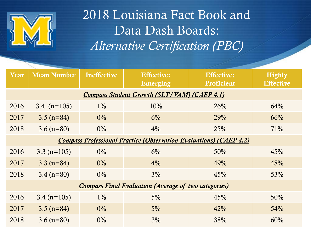

## 2018 Louisiana Fact Book and Data Dash Boards: *Alternative Certification (PBC)*

| Year | <b>Mean Number</b>                                                        | <b>Ineffective</b> | <b>Effective:</b><br>Emerging                               | <b>Effective:</b><br>Proficient | <b>Highly</b><br><b>Effective</b> |  |  |  |  |  |
|------|---------------------------------------------------------------------------|--------------------|-------------------------------------------------------------|---------------------------------|-----------------------------------|--|--|--|--|--|
|      | <b>Compass Student Growth (SLT/VAM) (CAEP 4.1)</b>                        |                    |                                                             |                                 |                                   |  |  |  |  |  |
| 2016 | 3.4 $(n=105)$                                                             | $1\%$              | 10%                                                         | 26%                             | 64%                               |  |  |  |  |  |
| 2017 | $3.5 (n=84)$                                                              | $0\%$              | $6\%$                                                       | 29%                             | 66%                               |  |  |  |  |  |
| 2018 | $3.6 (n=80)$                                                              | $0\%$              | $4\%$                                                       | 25%                             | 71%                               |  |  |  |  |  |
|      | <b>Compass Professional Practice (Observation Evaluations) (CAEP 4.2)</b> |                    |                                                             |                                 |                                   |  |  |  |  |  |
| 2016 | $3.3 (n=105)$                                                             | $0\%$              | $6\%$                                                       | 50%                             | 45%                               |  |  |  |  |  |
| 2017 | $3.3 (n=84)$                                                              | $0\%$              | $4\%$                                                       | 49%                             | 48%                               |  |  |  |  |  |
| 2018 | $3.4 (n=80)$                                                              | $0\%$              | $3\%$                                                       | 45%                             | 53%                               |  |  |  |  |  |
|      |                                                                           |                    | <b>Compass Final Evaluation (Average of two categories)</b> |                                 |                                   |  |  |  |  |  |
| 2016 | $3.4 (n=105)$                                                             | $1\%$              | $5\%$                                                       | 45%                             | 50%                               |  |  |  |  |  |
| 2017 | $3.5 (n=84)$                                                              | $0\%$              | $5\%$                                                       | 42%                             | 54%                               |  |  |  |  |  |
| 2018 | $3.6 (n=80)$                                                              | $0\%$              | $3\%$                                                       | 38%                             | 60%                               |  |  |  |  |  |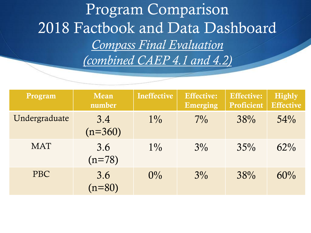Program Comparison 2018 Factbook and Data Dashboard *Compass Final Evaluation (combined CAEP 4.1 and 4.2)*

| Program       | Mean<br>number   | <b>Ineffective</b> | <b>Effective:</b><br>Emerging | <b>Effective:</b><br><b>Proficient</b> | <b>Highly</b><br><b>Effective</b> |
|---------------|------------------|--------------------|-------------------------------|----------------------------------------|-----------------------------------|
| Undergraduate | 3.4<br>$(n=360)$ | $1\%$              | $7\%$                         | 38%                                    | 54%                               |
| <b>MAT</b>    | 3.6<br>$(n=78)$  | $1\%$              | $3\%$                         | 35%                                    | $62\%$                            |
| <b>PBC</b>    | 3.6<br>$(n=80)$  | $0\%$              | $3\%$                         | 38%                                    | 60%                               |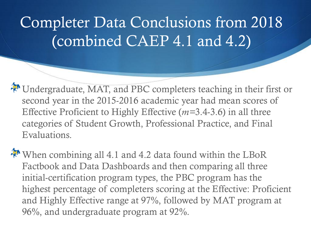## Completer Data Conclusions from 2018 (combined CAEP 4.1 and 4.2)

Undergraduate, MAT, and PBC completers teaching in their first or second year in the 2015-2016 academic year had mean scores of Effective Proficient to Highly Effective (*m=*3.4-3.6) in all three categories of Student Growth, Professional Practice, and Final Evaluations.

When combining all 4.1 and 4.2 data found within the LBoR Factbook and Data Dashboards and then comparing all three initial-certification program types, the PBC program has the highest percentage of completers scoring at the Effective: Proficient and Highly Effective range at 97%, followed by MAT program at 96%, and undergraduate program at 92%.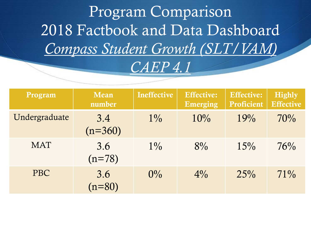Program Comparison 2018 Factbook and Data Dashboard *Compass Student Growth (SLT/VAM) CAEP 4.1*

| Program       | Mean<br>number   | <b>Ineffective</b> | <b>Effective:</b><br>Emerging | Effective:<br>Proficient | <b>Highly</b><br><b>Effective</b> |
|---------------|------------------|--------------------|-------------------------------|--------------------------|-----------------------------------|
| Undergraduate | 3.4<br>$(n=360)$ | $1\%$              | 10%                           | 19%                      | 70%                               |
| <b>MAT</b>    | 3.6<br>$(n=78)$  | $1\%$              | $8\%$                         | 15%                      | 76%                               |
| <b>PBC</b>    | 3.6<br>$(n=80)$  | $0\%$              | $4\%$                         | 25%                      | $71\%$                            |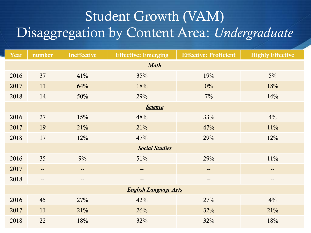## Student Growth (VAM) Disaggregation by Content Area: *Undergraduate*

| Year | number                   | <b>Ineffective</b>       | <b>Effective: Emerging</b>   | <b>Effective: Proficient</b> | <b>Highly Effective</b>  |  |  |  |
|------|--------------------------|--------------------------|------------------------------|------------------------------|--------------------------|--|--|--|
|      | Math                     |                          |                              |                              |                          |  |  |  |
| 2016 | 37                       | 41%                      | 35%                          | 19%                          | $5\%$                    |  |  |  |
| 2017 | 11                       | 64%                      | 18%                          | $0\%$                        | 18%                      |  |  |  |
| 2018 | 14                       | 50%                      | 29%                          | 7%                           | 14%                      |  |  |  |
|      |                          |                          | <b>Science</b>               |                              |                          |  |  |  |
| 2016 | 27                       | 15%                      | 48%                          | 33%                          | 4%                       |  |  |  |
| 2017 | 19                       | 21%                      | 21%                          | 47%                          | 11%                      |  |  |  |
| 2018 | 17                       | 12%                      | 47%                          | 29%                          | 12%                      |  |  |  |
|      |                          |                          | <b>Social Studies</b>        |                              |                          |  |  |  |
| 2016 | 35                       | 9%                       | 51%                          | 29%                          | 11%                      |  |  |  |
| 2017 | $\overline{\phantom{a}}$ | $\overline{\phantom{a}}$ | $- -$                        | $\overline{\phantom{m}}$     | $\overline{\phantom{a}}$ |  |  |  |
| 2018 | $\qquad \qquad -$        | $\overline{\phantom{a}}$ | $\overline{\phantom{a}}$     | $\qquad \qquad -$            | $\overline{\phantom{a}}$ |  |  |  |
|      |                          |                          | <b>English Language Arts</b> |                              |                          |  |  |  |
| 2016 | 45                       | 27%                      | 42%                          | 27%                          | 4%                       |  |  |  |
| 2017 | 11                       | 21%                      | 26%                          | 32%                          | 21%                      |  |  |  |
| 2018 | 22                       | 18%                      | 32%                          | 32%                          | 18%                      |  |  |  |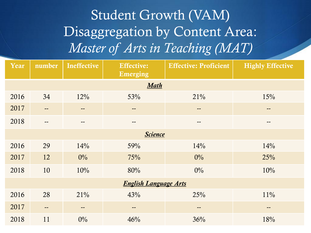## Student Growth (VAM) Disaggregation by Content Area: *Master of Arts in Teaching (MAT)*

| Year | number         | Ineffective | <b>Effective:</b><br>Emerging | <b>Effective: Proficient</b> | <b>Highly Effective</b> |  |  |  |
|------|----------------|-------------|-------------------------------|------------------------------|-------------------------|--|--|--|
|      |                |             | Math                          |                              |                         |  |  |  |
| 2016 | 34             | 12%         | 53%                           | 21%                          | 15%                     |  |  |  |
| 2017 | --             | $- -$       | $\qquad \qquad -$             | $\qquad \qquad -$            | $- -$                   |  |  |  |
| 2018 | --             | $- -$       | $\qquad \qquad -$             | $\qquad \qquad -$            | $- -$                   |  |  |  |
|      | <b>Science</b> |             |                               |                              |                         |  |  |  |
| 2016 | 29             | 14%         | 59%                           | 14%                          | 14%                     |  |  |  |
| 2017 | 12             | $0\%$       | 75%                           | $0\%$                        | 25%                     |  |  |  |
| 2018 | 10             | 10%         | 80%                           | $0\%$                        | 10%                     |  |  |  |
|      |                |             | <b>English Language Arts</b>  |                              |                         |  |  |  |
| 2016 | 28             | 21%         | 43%                           | 25%                          | 11%                     |  |  |  |
| 2017 | $- -$          | $- -$       | $\overline{\phantom{m}}$      | $\qquad \qquad -$            | $- -$                   |  |  |  |
| 2018 | 11             | $0\%$       | 46%                           | 36%                          | 18%                     |  |  |  |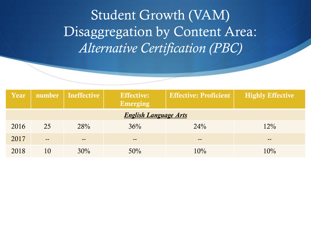Student Growth (VAM) Disaggregation by Content Area: *Alternative Certification (PBC)*

| Year |                              | number Ineffective           | <b>Effective:</b><br>Emerging | <b>Effective: Proficient</b> | <b>Highly Effective</b>      |  |  |  |  |  |
|------|------------------------------|------------------------------|-------------------------------|------------------------------|------------------------------|--|--|--|--|--|
|      | <b>English Language Arts</b> |                              |                               |                              |                              |  |  |  |  |  |
| 2016 | 25                           | 28%                          | 36%                           | 24%                          | 12%                          |  |  |  |  |  |
| 2017 | $\qquad \qquad \blacksquare$ | $\qquad \qquad \blacksquare$ | $\qquad \qquad \blacksquare$  | $- -$                        | $\qquad \qquad \blacksquare$ |  |  |  |  |  |
| 2018 | 10                           | 30%                          | 50%                           | 10%                          | 10%                          |  |  |  |  |  |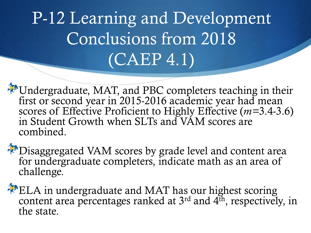# P-12 Learning and Development Conclusions from 2018 (CAEP 4.1)

Undergraduate, MAT, and PBC completers teaching in their first or second year in 2015-2016 academic year had mean scores of Effective Proficient to Highly Effective (*m=*3.4-3.6) in Student Growth when SLTs and VAM scores are combined.

Disaggregated VAM scores by grade level and content area for undergraduate completers, indicate math as an area of challenge.

ELA in undergraduate and MAT has our highest scoring content area percentages ranked at  $3<sup>rd</sup>$  and  $4<sup>th</sup>$ , respectively, in the state.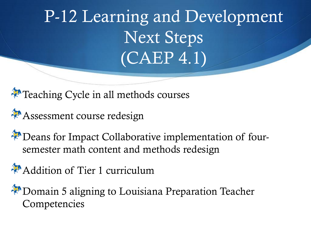P-12 Learning and Development Next Steps (CAEP 4.1)

Teaching Cycle in all methods courses

Assessment course redesign

Deans for Impact Collaborative implementation of foursemester math content and methods redesign

Addition of Tier 1 curriculum

Domain 5 aligning to Louisiana Preparation Teacher Competencies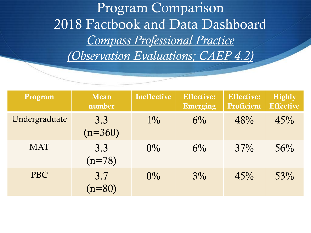Program Comparison 2018 Factbook and Data Dashboard *Compass Professional Practice (Observation Evaluations; CAEP 4.2)*

| Program       | Mean<br>number   | <b>Ineffective</b> | <b>Effective:</b><br><b>Emerging</b> | <b>Effective:</b><br>Proficient | <b>Highly</b><br><b>Effective</b> |
|---------------|------------------|--------------------|--------------------------------------|---------------------------------|-----------------------------------|
| Undergraduate | 3.3<br>$(n=360)$ | $1\%$              | $6\%$                                | 48%                             | 45%                               |
| <b>MAT</b>    | 3.3<br>$(n=78)$  | $0\%$              | $6\%$                                | 37%                             | 56%                               |
| <b>PBC</b>    | 3.7<br>$(n=80)$  | $0\%$              | $3\%$                                | 45%                             | 53%                               |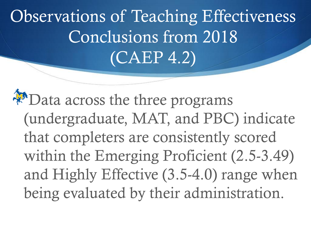Observations of Teaching Effectiveness Conclusions from 2018 (CAEP 4.2)

**PO** Data across the three programs (undergraduate, MAT, and PBC) indicate that completers are consistently scored within the Emerging Proficient (2.5-3.49) and Highly Effective (3.5-4.0) range when being evaluated by their administration.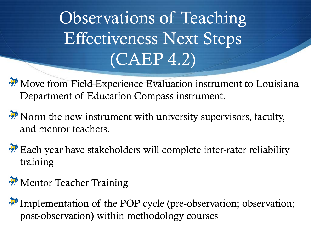Observations of Teaching Effectiveness Next Steps (CAEP 4.2)

Move from Field Experience Evaluation instrument to Louisiana Department of Education Compass instrument.

Norm the new instrument with university supervisors, faculty, and mentor teachers.

Each year have stakeholders will complete inter-rater reliability training

Mentor Teacher Training

Implementation of the POP cycle (pre-observation; observation; post-observation) within methodology courses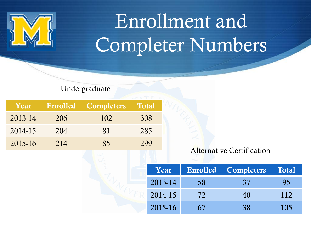

# Enrollment and Completer Numbers

Undergraduate

| Year    | <b>Enrolled</b> | <b>Completers</b> | <b>Total</b> |
|---------|-----------------|-------------------|--------------|
| 2013-14 | 206             | 102               | 308          |
| 2014-15 | 204             | 81                | 285          |
| 2015-16 | 214             | 85                | 299          |

### Alternative Certification

| Year    |    | Enrolled   Completers | <b>Total</b> |
|---------|----|-----------------------|--------------|
| 2013-14 | 58 | 37                    | 95           |
| 2014-15 | 72 | 40                    | 112          |
| 2015-16 | 67 | 38                    | 105          |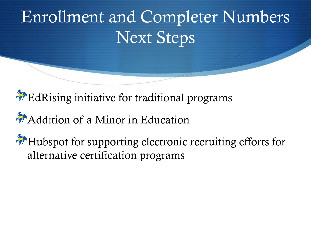# Enrollment and Completer Numbers Next Steps

EdRising initiative for traditional programs

## Addition of a Minor in Education

Hubspot for supporting electronic recruiting efforts for alternative certification programs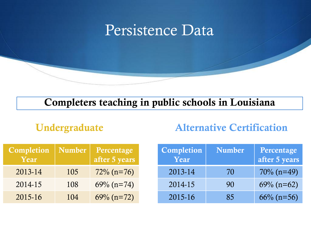

### Completers teaching in public schools in Louisiana

### Undergraduate

### Alternative Certification

| Completion<br>Year | Number | Percentage<br>after 5 years | Completion<br>$\boldsymbol{\mathrm{Year}}^\shortparallel$ | <b>Number</b> | Percentage<br>after 5 years |
|--------------------|--------|-----------------------------|-----------------------------------------------------------|---------------|-----------------------------|
| 2013-14            | 105    | $72\%$ (n=76)               | 2013-14                                                   | 70            | $70\%$ (n=49)               |
| 2014-15            | 108    | $69\%$ (n=74)               | 2014-15                                                   | 90            | $69\%$ (n=62)               |
| 2015-16            | 104    | $69\%$ (n=72)               | 2015-16                                                   | 85            | $66\%$ (n=56)               |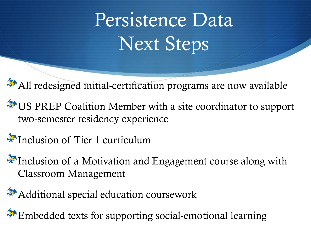# Persistence Data Next Steps

All redesigned initial-certification programs are now available

US PREP Coalition Member with a site coordinator to support two-semester residency experience

Inclusion of Tier 1 curriculum

Inclusion of a Motivation and Engagement course along with Classroom Management

Additional special education coursework

Embedded texts for supporting social-emotional learning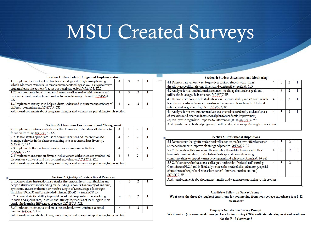# MSU Created Surveys

#### Section 1: Curriculum Design and Implementation

| 1.1 Implementa variety of instructional strategies during lesson planning.             |  |  |  |  |  |  |  |
|----------------------------------------------------------------------------------------|--|--|--|--|--|--|--|
| which addresses students' common misunderstandings as well as typical ways             |  |  |  |  |  |  |  |
| students learn the content (i.e. instructional strategies) InTASC 1, TLL               |  |  |  |  |  |  |  |
| 1.2 Incorporate students' diverse cultures as well as real-world interests and         |  |  |  |  |  |  |  |
| experiences into instructional content to make learning relevant. InTASC4,             |  |  |  |  |  |  |  |
| $C\!K$                                                                                 |  |  |  |  |  |  |  |
| 1.3 Implement strategies to help students understand the interconnectedness of         |  |  |  |  |  |  |  |
| different content areas. InTASC 5, CK                                                  |  |  |  |  |  |  |  |
| Additional comments about program strengths and weaknesses pertaining to this section: |  |  |  |  |  |  |  |
|                                                                                        |  |  |  |  |  |  |  |

#### **Section 2: Classroom Environment and Management**

| 2.1 Implement routines and rules for the classroom that enables all students to        |  |  |  |  |  |  |
|----------------------------------------------------------------------------------------|--|--|--|--|--|--|
| focus on learning. InTASC 3, TLL                                                       |  |  |  |  |  |  |
| 2.2 Demonstrate appropriate use of communication and interventions to                  |  |  |  |  |  |  |
| manage behavior in the classroom taking into account student diversity.                |  |  |  |  |  |  |
| InTASC 3. TLL                                                                          |  |  |  |  |  |  |
| 2.3 Implement efficient transitions between classroom activities.                      |  |  |  |  |  |  |
| InTASC 3, TLL                                                                          |  |  |  |  |  |  |
| 2.4 Implement and support diverse inclusiveness with structured student-led            |  |  |  |  |  |  |
| discussion, curricula, and instructional experiences. InTASC 2, TLL                    |  |  |  |  |  |  |
| Additional comments about program strengths and weaknesses pertaining to this section: |  |  |  |  |  |  |
|                                                                                        |  |  |  |  |  |  |

#### **Section 3: Ouality of Instructional Practices**

| <b>Section 3: Quality of Instructional Practices</b>                                   |  |  |  |  |  |  |  |
|----------------------------------------------------------------------------------------|--|--|--|--|--|--|--|
| 3.1 Demonstrate instructional strategies that emphasize critical thinking and          |  |  |  |  |  |  |  |
| deepen students' understanding by including Bloom's Taxonomy of analysis,              |  |  |  |  |  |  |  |
| synthesis, and/or evaluation or Webb's Depth of Knowledge of strategic                 |  |  |  |  |  |  |  |
| thinking (DOK 3) and/or extended thinking (DOK 4). $InTASC 8, IP$                      |  |  |  |  |  |  |  |
| 3.2 Demonstrate the ability to provide academic support (e.g. scaffolding,             |  |  |  |  |  |  |  |
| models and approaches, instructional strategies, theories of learning) to meet         |  |  |  |  |  |  |  |
| particular learning differences or needs. InTASC 2, TLL                                |  |  |  |  |  |  |  |
| 3.3 Implement interactive and engaging technology within instructional                 |  |  |  |  |  |  |  |
| lessons. InTASC 5, CK                                                                  |  |  |  |  |  |  |  |
| Additional comments about program strengths and weaknesses pertaining to this section: |  |  |  |  |  |  |  |
|                                                                                        |  |  |  |  |  |  |  |

#### **Section 4: Student Assessment and Monitoring**

| 4.1 Demonstrate various ways to give feedback on student work that is                  |  |   |  |  |  |  |  |
|----------------------------------------------------------------------------------------|--|---|--|--|--|--|--|
| descriptive, specific, relevant, timely, and constructive. InTASC 6, IP                |  |   |  |  |  |  |  |
| 4.2 Analyze formal and informal assessment results against student goals and           |  | 3 |  |  |  |  |  |
| utilize the data to guide instruction. InTASC 7, IP                                    |  |   |  |  |  |  |  |
| 4.3 Demonstrate how to help students assess their own ability and set goals which      |  |   |  |  |  |  |  |
| leads to successful outcomes (formative self-assessments such as checklist and         |  |   |  |  |  |  |  |
| rubrics, student goal setting, etc.). InTASC 6, IP                                     |  |   |  |  |  |  |  |
| 4.4 Analyze formative and summative assessment data to identify students' areas        |  |   |  |  |  |  |  |
| of weakness and create an instructional plan for academic improvement,                 |  |   |  |  |  |  |  |
| especially with regards to Response to Intervention (RTI). InTASC 9, PR                |  |   |  |  |  |  |  |
| Additional comments about program strengths and weaknesses pertaining to this section: |  |   |  |  |  |  |  |
|                                                                                        |  |   |  |  |  |  |  |

| <b>Section 5: Professional Dispositions</b>                                            |  |  |
|----------------------------------------------------------------------------------------|--|--|
| 5.1 Demonstrate thoughtful and critical reflection on his/her own effectiveness as     |  |  |
| a teacher in order to improve planning and practice. InTASC 9, PR                      |  |  |
| 5.2 Collaborate with learners and their families through technology and other          |  |  |
| forms of communication to establish mutual expectations and ongoing                    |  |  |
| communication to support learner development and achievement. InTASC 10, PR            |  |  |
| 5.3 Collaborate with educational colleagues both within Professional Learning          |  |  |
| Committees (PLCs) and individually to meet the needs of all students (e.g. special     |  |  |
| education teachers, school counselors, school librarians, curriculum, etc.)            |  |  |
| InTASC <sub>7</sub> , IP                                                               |  |  |
| Additional comments about program strengths and weaknesses pertaining to this section: |  |  |
|                                                                                        |  |  |

#### **Candidate Follow-up Survey Prompt:**

What were the three (3) toughest transitions for you moving from your college experience to a P-12 classroom?

#### **Employer Satisfaction Survey Prompt:** What are two (2) recommendations you have for improving THIS candidate's development and readiness for the P-12 classroom?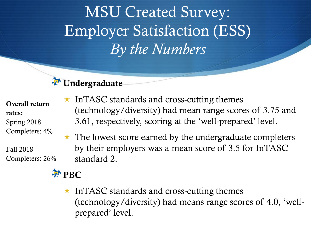MSU Created Survey: Employer Satisfaction (ESS) *By the Numbers*



Overall return rates: Spring 2018 Completers: 4%

Fall 2018 Completers: 26%



- $\star$  InTASC standards and cross-cutting themes (technology/diversity) had mean range scores of 3.75 and 3.61, respectively, scoring at the 'well-prepared' level.
- $\star$  The lowest score earned by the undergraduate completers by their employers was a mean score of 3.5 for InTASC standard 2.
- $\star$  InTASC standards and cross-cutting themes (technology/diversity) had means range scores of 4.0, 'wellprepared' level.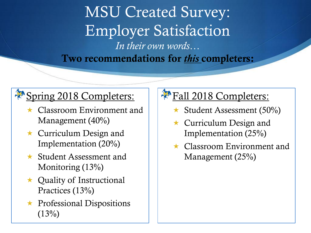MSU Created Survey: Employer Satisfaction *In their own words…* Two recommendations for *this* completers:

### Spring 2018 Completers:

- **Classroom Environment and** Management (40%)
- $\star$  Curriculum Design and Implementation (20%)
- $\star$  Student Assessment and Monitoring (13%)
- $\star$  Quality of Instructional Practices (13%)
- $\star$  Professional Dispositions  $(13%)$

### Fall 2018 Completers:

- $\star$  Student Assessment (50%)
- **\*** Curriculum Design and Implementation (25%)
- **\*** Classroom Environment and Management (25%)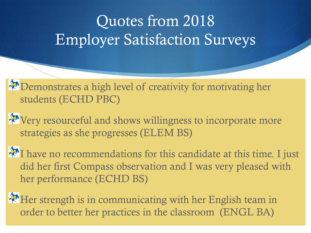## Quotes from 2018 Employer Satisfaction Surveys

Demonstrates a high level of creativity for motivating her students (ECHD PBC)

Wery resourceful and shows willingness to incorporate more strategies as she progresses (ELEM BS)

Thave no recommendations for this candidate at this time. I just did her first Compass observation and I was very pleased with her performance (ECHD BS)

Her strength is in communicating with her English team in order to better her practices in the classroom (ENGL BA)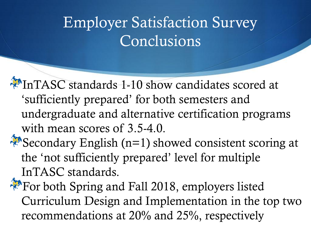## Employer Satisfaction Survey **Conclusions**

InTASC standards 1-10 show candidates scored at 'sufficiently prepared' for both semesters and undergraduate and alternative certification programs with mean scores of 3.5-4.0.

Secondary English ( $n=1$ ) showed consistent scoring at the 'not sufficiently prepared' level for multiple InTASC standards.

For both Spring and Fall 2018, employers listed Curriculum Design and Implementation in the top two recommendations at 20% and 25%, respectively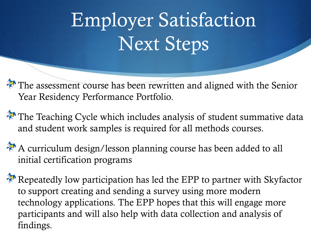# Employer Satisfaction Next Steps

The assessment course has been rewritten and aligned with the Senior Year Residency Performance Portfolio.

The Teaching Cycle which includes analysis of student summative data and student work samples is required for all methods courses.

A curriculum design/lesson planning course has been added to all initial certification programs

Repeatedly low participation has led the EPP to partner with Skyfactor to support creating and sending a survey using more modern technology applications. The EPP hopes that this will engage more participants and will also help with data collection and analysis of findings.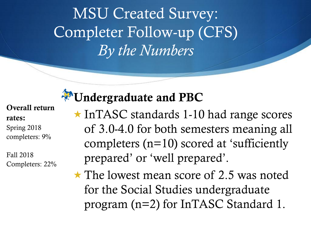MSU Created Survey: Completer Follow-up (CFS) *By the Numbers*

### Overall return rates:

Spring 2018 completers: 9%

Fall 2018 Completers: 22%

### Undergraduate and PBC

- $\star$  InTASC standards 1-10 had range scores of 3.0-4.0 for both semesters meaning all completers (n=10) scored at 'sufficiently prepared' or 'well prepared'.
- $\star$  The lowest mean score of 2.5 was noted for the Social Studies undergraduate program (n=2) for InTASC Standard 1.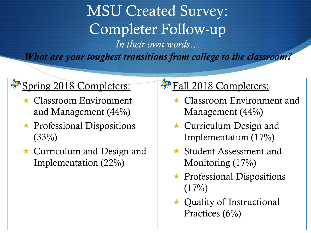MSU Created Survey: Completer Follow-up *In their own words… What are your toughest transitions from college to the classroom?*

### Spring 2018 Completers:

- $\star$  Classroom Environment and Management (44%)
- $\star$  Professional Dispositions  $(33%)$
- $\star$  Curriculum and Design and Implementation (22%)

### Fall 2018 Completers:

- $\star$  Classroom Environment and Management (44%)
- $\star$  Curriculum Design and Implementation (17%)
- $\star$  Student Assessment and Monitoring (17%)
- $\star$  Professional Dispositions  $(17\%)$
- $\star$  Quality of Instructional Practices (6%)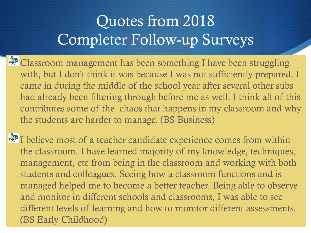## Quotes from 2018 Completer Follow-up Surveys

Classroom management has been something I have been struggling with, but I don't think it was because I was not sufficiently prepared. I came in during the middle of the school year after several other subs had already been filtering through before me as well. I think all of this contributes some of the chaos that happens in my classroom and why the students are harder to manage. (BS Business)

I believe most of a teacher candidate experience comes from within the classroom. I have learned majority of my knowledge, techniques, management, etc from being in the classroom and working with both students and colleagues. Seeing how a classroom functions and is managed helped me to become a better teacher. Being able to observe and monitor in different schools and classrooms, I was able to see different levels of learning and how to monitor different assessments. (BS Early Childhood)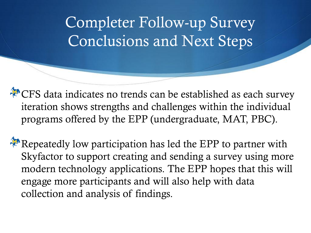## Completer Follow-up Survey Conclusions and Next Steps

CFS data indicates no trends can be established as each survey iteration shows strengths and challenges within the individual programs offered by the EPP (undergraduate, MAT, PBC).

Repeatedly low participation has led the EPP to partner with Skyfactor to support creating and sending a survey using more modern technology applications. The EPP hopes that this will engage more participants and will also help with data collection and analysis of findings.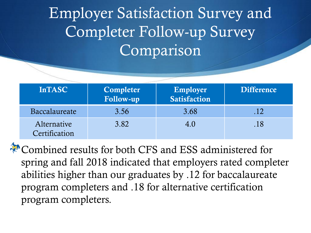## Employer Satisfaction Survey and Completer Follow-up Survey Comparison

| <b>InTASC</b>                | Completer<br>Follow-up | Employer<br>Satisfaction | <b>Difference</b> |
|------------------------------|------------------------|--------------------------|-------------------|
| Baccalaureate                | 3.56                   | 3.68                     | .12               |
| Alternative<br>Certification | 3.82                   | 4.0                      | .18               |

**Combined results for both CFS and ESS administered for** spring and fall 2018 indicated that employers rated completer abilities higher than our graduates by .12 for baccalaureate program completers and .18 for alternative certification program completers.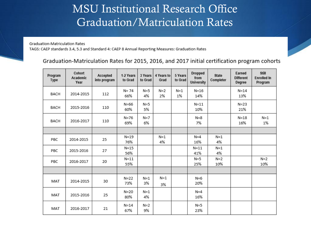### MSU Institutional Research Office Graduation/Matriculation Rates

Graduation-Matriculation Rates TAGS: CAEP standards 3.4, 5.3 and Standard 4: CAEP 8 Annual Reporting Measures: Graduation Rates

#### Graduation-Matriculation Rates for 2015, 2016, and 2017 initial certification program cohorts

| Program<br>Type | Cohort<br>Academic<br>Year | Accepted<br>into program | 1-2 Years<br>to Grad | 3 Years<br>to Grad | 4 Years to<br>Grad | 5 Years<br>to Grad | <b>Dropped</b><br>from<br><b>University</b> | <b>State</b><br>Completer | Earned<br><b>Different</b><br>Degree | Still<br><b>Enrolled In</b><br>Program |
|-----------------|----------------------------|--------------------------|----------------------|--------------------|--------------------|--------------------|---------------------------------------------|---------------------------|--------------------------------------|----------------------------------------|
| BACH            | 2014-2015                  | 112                      | N= 74<br>66%         | $N=5$<br>4%        | $N=2$<br>2%        | $N=1$<br>1%        | $N = 16$<br>14%                             |                           | $N = 14$<br>13%                      |                                        |
| <b>BACH</b>     | 2015-2016                  | 110                      | $N=66$<br>60%        | $N = 5$<br>5%      |                    |                    | $N=11$<br>10%                               |                           | $N=23$<br>21%                        |                                        |
| BACH            | 2016-2017                  | 110                      | $N=76$<br>69%        | $N=7$<br>6%        |                    |                    | $N = 8$<br>7%                               |                           | $N=18$<br>16%                        | $N=1$<br>1%                            |
|                 |                            |                          |                      |                    |                    |                    |                                             |                           |                                      |                                        |
| PBC             | 2014-2015                  | 25                       | $N=19$<br>76%        |                    | $N=1$<br>4%        |                    | $N=4$<br>16%                                | $N=1$<br>4%               |                                      |                                        |
| PBC             | 2015-2016                  | 27                       | $N=15$<br>56%        |                    |                    |                    | $N = 11$<br>41%                             | $N=1$<br>4%               |                                      |                                        |
| PBC             | 2016-2017                  | 20                       | $N=11$<br>55%        |                    |                    |                    | $N=5$<br>25%                                | $N=2$<br>10%              |                                      | $N=2$<br>10%                           |
|                 |                            |                          |                      |                    |                    |                    |                                             |                           |                                      |                                        |
| MAT             | 2014-2015                  | 30                       | $N=22$<br>73%        | $N=1$<br>3%        | $N=1$<br>3%        |                    | $N=6$<br>20%                                |                           |                                      |                                        |
| MAT             | 2015-2016                  | 25                       | $N=20$<br>80%        | $N=1$<br>4%        |                    |                    | $N=4$<br>16%                                |                           |                                      |                                        |
| MAT             | 2016-2017                  | 21                       | $N = 14$<br>67%      | $N=2$<br>9%        |                    |                    | $N=5$<br>23%                                |                           |                                      |                                        |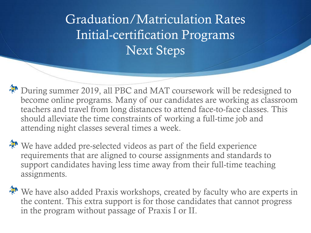Graduation/Matriculation Rates Initial-certification Programs Next Steps

During summer 2019, all PBC and MAT coursework will be redesigned to become online programs. Many of our candidates are working as classroom teachers and travel from long distances to attend face-to-face classes. This should alleviate the time constraints of working a full-time job and attending night classes several times a week.

We have added pre-selected videos as part of the field experience requirements that are aligned to course assignments and standards to support candidates having less time away from their full-time teaching assignments.

We have also added Praxis workshops, created by faculty who are experts in the content. This extra support is for those candidates that cannot progress in the program without passage of Praxis I or II.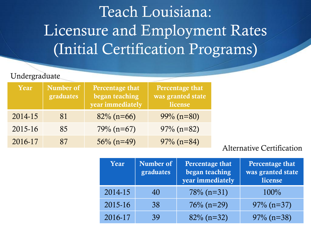## Teach Louisiana: Licensure and Employment Rates (Initial Certification Programs)

### Undergraduate

| Year    | Number of<br>graduates | Percentage that<br>began teaching<br>year immediately | Percentage that<br>was granted state<br>license |
|---------|------------------------|-------------------------------------------------------|-------------------------------------------------|
| 2014-15 | 81                     | $82\%$ (n=66)                                         | $99\% (n=80)$                                   |
| 2015-16 | 85                     | $79\% (n=67)$                                         | $97\%$ (n=82)                                   |
| 2016-17 | 87                     | $56\%$ (n=49)                                         | $97\%$ (n=84)                                   |

### Alternative Certification

| Year    | Number of<br>graduates | Percentage that<br>began teaching<br>year immediately | Percentage that<br>was granted state<br>license |
|---------|------------------------|-------------------------------------------------------|-------------------------------------------------|
| 2014-15 | 40                     | $78\%$ (n=31)                                         | $100\%$                                         |
| 2015-16 | 38                     | $76\%$ (n=29)                                         | $97\%$ (n=37)                                   |
| 2016-17 | 39                     | $82\%$ (n=32)                                         | $97\%$ (n=38)                                   |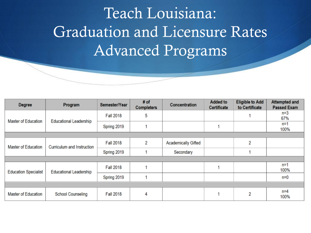## Teach Louisiana: Graduation and Licensure Rates Advanced Programs

| <b>Degree</b>               | Program                       | Semester/Year    | # of<br><b>Completers</b> | <b>Concentration</b>       | <b>Added to</b><br>Certificate | <b>Eligible to Add</b><br>to Certificate | <b>Attempted and</b><br><b>Passed Exam</b> |  |  |
|-----------------------------|-------------------------------|------------------|---------------------------|----------------------------|--------------------------------|------------------------------------------|--------------------------------------------|--|--|
| <b>Master of Education</b>  | <b>Educational Leadership</b> | <b>Fall 2018</b> | 5                         |                            |                                |                                          | $n=3$<br>67%                               |  |  |
|                             |                               | Spring 2019      |                           |                            |                                |                                          | $n=1$<br>100%                              |  |  |
|                             |                               |                  |                           |                            |                                |                                          |                                            |  |  |
| Master of Education         | Curriculum and Instruction    | <b>Fall 2018</b> | 2                         | <b>Academically Gifted</b> |                                | 2                                        |                                            |  |  |
|                             |                               | Spring 2019      |                           | Secondary                  |                                |                                          |                                            |  |  |
|                             |                               |                  |                           |                            |                                |                                          |                                            |  |  |
| <b>Education Specialist</b> | <b>Educational Leadership</b> | <b>Fall 2018</b> |                           |                            |                                |                                          | $n = 1$<br>100%                            |  |  |
|                             |                               | Spring 2019      |                           |                            |                                |                                          | $n=0$                                      |  |  |
|                             |                               |                  |                           |                            |                                |                                          |                                            |  |  |
| <b>Master of Education</b>  | <b>School Counseling</b>      | <b>Fall 2018</b> | 4                         |                            |                                | 2                                        | $n=4$<br>100%                              |  |  |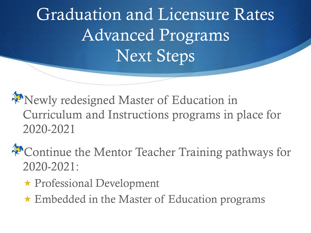Graduation and Licensure Rates Advanced Programs Next Steps

Newly redesigned Master of Education in Curriculum and Instructions programs in place for 2020-2021

Continue the Mentor Teacher Training pathways for 2020-2021:

- Professional Development
- $\star$  Embedded in the Master of Education programs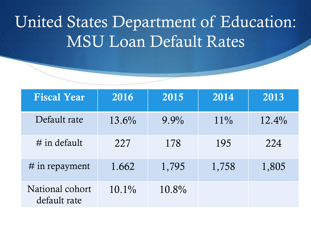## United States Department of Education: MSU Loan Default Rates

| <b>Fiscal Year</b>              | 2016     | 2015     | 2014   | 2013     |
|---------------------------------|----------|----------|--------|----------|
| Default rate                    | 13.6%    | $9.9\%$  | $11\%$ | $12.4\%$ |
| $\#$ in default                 | 227      | 178      | 195    | 224      |
| $#$ in repayment                | 1.662    | 1,795    | 1,758  | 1,805    |
| National cohort<br>default rate | $10.1\%$ | $10.8\%$ |        |          |